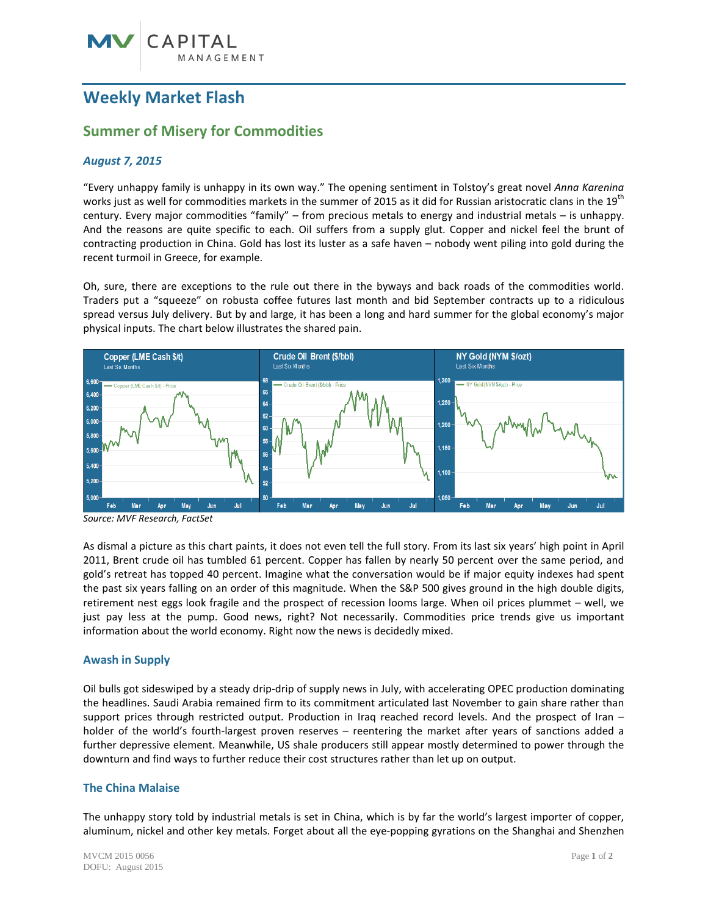## **Weekly Market Flash**

### **Summer of Misery for Commodities**

#### *August 7, 2015*

"Every unhappy family is unhappy in its own way." The opening sentiment in Tolstoy's great novel *Anna Karenina* works just as well for commodities markets in the summer of 2015 as it did for Russian aristocratic clans in the  $19<sup>th</sup>$ century. Every major commodities "family" – from precious metals to energy and industrial metals – is unhappy. And the reasons are quite specific to each. Oil suffers from a supply glut. Copper and nickel feel the brunt of contracting production in China. Gold has lost its luster as a safe haven – nobody went piling into gold during the recent turmoil in Greece, for example.

Oh, sure, there are exceptions to the rule out there in the byways and back roads of the commodities world. Traders put a "squeeze" on robusta coffee futures last month and bid September contracts up to a ridiculous spread versus July delivery. But by and large, it has been a long and hard summer for the global economy's major physical inputs. The chart below illustrates the shared pain.



*Source: MVF Research, FactSet*

As dismal a picture as this chart paints, it does not even tell the full story. From its last six years' high point in April 2011, Brent crude oil has tumbled 61 percent. Copper has fallen by nearly 50 percent over the same period, and gold's retreat has topped 40 percent. Imagine what the conversation would be if major equity indexes had spent the past six years falling on an order of this magnitude. When the S&P 500 gives ground in the high double digits, retirement nest eggs look fragile and the prospect of recession looms large. When oil prices plummet – well, we just pay less at the pump. Good news, right? Not necessarily. Commodities price trends give us important information about the world economy. Right now the news is decidedly mixed.

#### **Awash in Supply**

Oil bulls got sideswiped by a steady drip-drip of supply news in July, with accelerating OPEC production dominating the headlines. Saudi Arabia remained firm to its commitment articulated last November to gain share rather than support prices through restricted output. Production in Iraq reached record levels. And the prospect of Iran – holder of the world's fourth-largest proven reserves – reentering the market after years of sanctions added a further depressive element. Meanwhile, US shale producers still appear mostly determined to power through the downturn and find ways to further reduce their cost structures rather than let up on output.

#### **The China Malaise**

The unhappy story told by industrial metals is set in China, which is by far the world's largest importer of copper, aluminum, nickel and other key metals. Forget about all the eye-popping gyrations on the Shanghai and Shenzhen